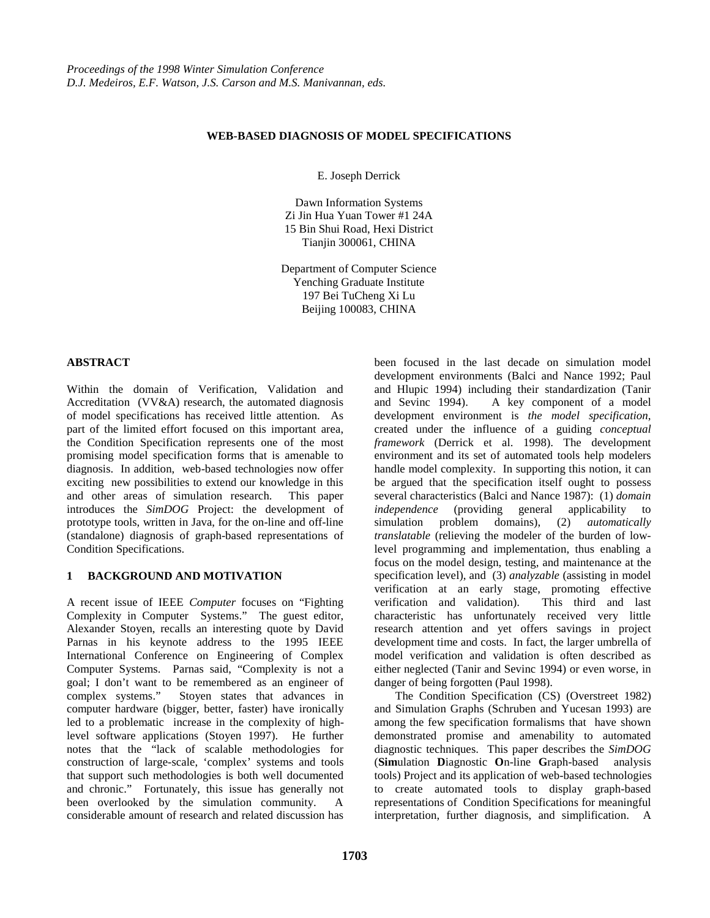## **WEB-BASED DIAGNOSIS OF MODEL SPECIFICATIONS**

E. Joseph Derrick

Dawn Information Systems Zi Jin Hua Yuan Tower #1 24A 15 Bin Shui Road, Hexi District Tianjin 300061, CHINA

Department of Computer Science Yenching Graduate Institute 197 Bei TuCheng Xi Lu Beijing 100083, CHINA

## **ABSTRACT**

Within the domain of Verification, Validation and Accreditation (VV&A) research, the automated diagnosis of model specifications has received little attention. As part of the limited effort focused on this important area, the Condition Specification represents one of the most promising model specification forms that is amenable to diagnosis. In addition, web-based technologies now offer exciting new possibilities to extend our knowledge in this and other areas of simulation research. This paper introduces the *SimDOG* Project: the development of prototype tools, written in Java, for the on-line and off-line (standalone) diagnosis of graph-based representations of Condition Specifications.

## **1 BACKGROUND AND MOTIVATION**

A recent issue of IEEE *Computer* focuses on "Fighting Complexity in Computer Systems." The guest editor, Alexander Stoyen, recalls an interesting quote by David Parnas in his keynote address to the 1995 IEEE International Conference on Engineering of Complex Computer Systems. Parnas said, "Complexity is not a goal; I don't want to be remembered as an engineer of complex systems." Stoyen states that advances in computer hardware (bigger, better, faster) have ironically led to a problematic increase in the complexity of highlevel software applications (Stoyen 1997). He further notes that the "lack of scalable methodologies for construction of large-scale, 'complex' systems and tools that support such methodologies is both well documented and chronic." Fortunately, this issue has generally not been overlooked by the simulation community. A considerable amount of research and related discussion has

been focused in the last decade on simulation model development environments (Balci and Nance 1992; Paul and Hlupic 1994) including their standardization (Tanir and Sevinc 1994). A key component of a model development environment is *the model specification*, created under the influence of a guiding *conceptual framework* (Derrick et al. 1998). The development environment and its set of automated tools help modelers handle model complexity. In supporting this notion, it can be argued that the specification itself ought to possess several characteristics (Balci and Nance 1987): (1) *domain independence* (providing general applicability to simulation problem domains), (2) *automatically translatable* (relieving the modeler of the burden of lowlevel programming and implementation, thus enabling a focus on the model design, testing, and maintenance at the specification level), and (3) *analyzable* (assisting in model verification at an early stage, promoting effective verification and validation). This third and last characteristic has unfortunately received very little research attention and yet offers savings in project development time and costs. In fact, the larger umbrella of model verification and validation is often described as either neglected (Tanir and Sevinc 1994) or even worse, in danger of being forgotten (Paul 1998).

The Condition Specification (CS) (Overstreet 1982) and Simulation Graphs (Schruben and Yucesan 1993) are among the few specification formalisms that have shown demonstrated promise and amenability to automated diagnostic techniques. This paper describes the *SimDOG* (**Sim**ulation **D**iagnostic **O**n-line **G**raph-based analysis tools) Project and its application of web-based technologies to create automated tools to display graph-based representations of Condition Specifications for meaningful interpretation, further diagnosis, and simplification. A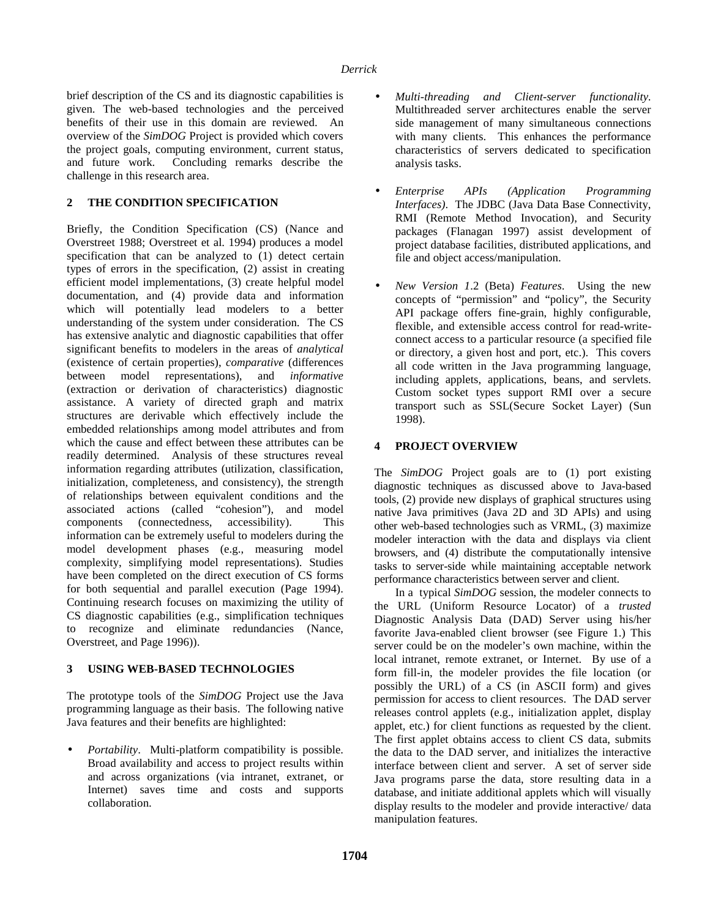brief description of the CS and its diagnostic capabilities is given. The web-based technologies and the perceived benefits of their use in this domain are reviewed. An overview of the *SimDOG* Project is provided which covers the project goals, computing environment, current status, and future work. Concluding remarks describe the challenge in this research area.

# **2 THE CONDITION SPECIFICATION**

Briefly, the Condition Specification (CS) (Nance and Overstreet 1988; Overstreet et al. 1994) produces a model specification that can be analyzed to (1) detect certain types of errors in the specification, (2) assist in creating efficient model implementations, (3) create helpful model documentation, and (4) provide data and information which will potentially lead modelers to a better understanding of the system under consideration. The CS has extensive analytic and diagnostic capabilities that offer significant benefits to modelers in the areas of *analytical* (existence of certain properties), *comparative* (differences between model representations), and *informative* (extraction or derivation of characteristics) diagnostic assistance. A variety of directed graph and matrix structures are derivable which effectively include the embedded relationships among model attributes and from which the cause and effect between these attributes can be readily determined. Analysis of these structures reveal information regarding attributes (utilization, classification, initialization, completeness, and consistency), the strength of relationships between equivalent conditions and the associated actions (called "cohesion"), and model components (connectedness, accessibility). This information can be extremely useful to modelers during the model development phases (e.g., measuring model complexity, simplifying model representations). Studies have been completed on the direct execution of CS forms for both sequential and parallel execution (Page 1994). Continuing research focuses on maximizing the utility of CS diagnostic capabilities (e.g., simplification techniques to recognize and eliminate redundancies (Nance, Overstreet, and Page 1996)).

# **3 USING WEB-BASED TECHNOLOGIES**

The prototype tools of the *SimDOG* Project use the Java programming language as their basis. The following native Java features and their benefits are highlighted:

• *Portability*. Multi-platform compatibility is possible. Broad availability and access to project results within and across organizations (via intranet, extranet, or Internet) saves time and costs and supports collaboration.

- *Multi-threading and Client-server functionality*. Multithreaded server architectures enable the server side management of many simultaneous connections with many clients. This enhances the performance characteristics of servers dedicated to specification analysis tasks.
- *Enterprise APIs (Application Programming Interfaces)*. The JDBC (Java Data Base Connectivity, RMI (Remote Method Invocation), and Security packages (Flanagan 1997) assist development of project database facilities, distributed applications, and file and object access/manipulation.
- *New Version 1*.2 (Beta) *Features*. Using the new concepts of "permission" and "policy", the Security API package offers fine-grain, highly configurable, flexible, and extensible access control for read-writeconnect access to a particular resource (a specified file or directory, a given host and port, etc.). This covers all code written in the Java programming language, including applets, applications, beans, and servlets. Custom socket types support RMI over a secure transport such as SSL(Secure Socket Layer) (Sun 1998).

## **4 PROJECT OVERVIEW**

The *SimDOG* Project goals are to (1) port existing diagnostic techniques as discussed above to Java-based tools, (2) provide new displays of graphical structures using native Java primitives (Java 2D and 3D APIs) and using other web-based technologies such as VRML, (3) maximize modeler interaction with the data and displays via client browsers, and (4) distribute the computationally intensive tasks to server-side while maintaining acceptable network performance characteristics between server and client.

In a typical *SimDOG* session, the modeler connects to the URL (Uniform Resource Locator) of a *trusted* Diagnostic Analysis Data (DAD) Server using his/her favorite Java-enabled client browser (see Figure 1.) This server could be on the modeler's own machine, within the local intranet, remote extranet, or Internet. By use of a form fill-in, the modeler provides the file location (or possibly the URL) of a CS (in ASCII form) and gives permission for access to client resources. The DAD server releases control applets (e.g., initialization applet, display applet, etc.) for client functions as requested by the client. The first applet obtains access to client CS data, submits the data to the DAD server, and initializes the interactive interface between client and server. A set of server side Java programs parse the data, store resulting data in a database, and initiate additional applets which will visually display results to the modeler and provide interactive/ data manipulation features.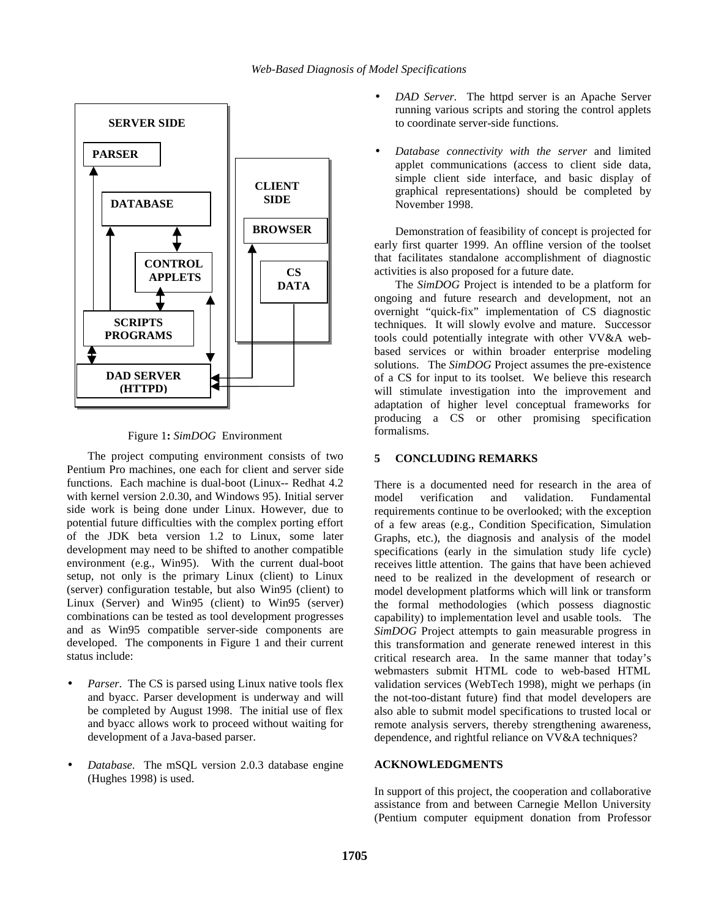

Figure 1**:** *SimDOG* Environment

The project computing environment consists of two Pentium Pro machines, one each for client and server side functions. Each machine is dual-boot (Linux-- Redhat 4.2 with kernel version 2.0.30, and Windows 95). Initial server side work is being done under Linux. However, due to potential future difficulties with the complex porting effort of the JDK beta version 1.2 to Linux, some later development may need to be shifted to another compatible environment (e.g., Win95). With the current dual-boot setup, not only is the primary Linux (client) to Linux (server) configuration testable, but also Win95 (client) to Linux (Server) and Win95 (client) to Win95 (server) combinations can be tested as tool development progresses and as Win95 compatible server-side components are developed. The components in Figure 1 and their current status include:

- Parser. The CS is parsed using Linux native tools flex and byacc. Parser development is underway and will be completed by August 1998. The initial use of flex and byacc allows work to proceed without waiting for development of a Java-based parser.
- *Database*. The mSQL version 2.0.3 database engine (Hughes 1998) is used.
- *DAD Server.* The httpd server is an Apache Server running various scripts and storing the control applets to coordinate server-side functions.
- *Database connectivity with the server* and limited applet communications (access to client side data, simple client side interface, and basic display of graphical representations) should be completed by November 1998.

Demonstration of feasibility of concept is projected for early first quarter 1999. An offline version of the toolset that facilitates standalone accomplishment of diagnostic activities is also proposed for a future date.

The *SimDOG* Project is intended to be a platform for ongoing and future research and development, not an overnight "quick-fix" implementation of CS diagnostic techniques. It will slowly evolve and mature. Successor tools could potentially integrate with other VV&A webbased services or within broader enterprise modeling solutions. The *SimDOG* Project assumes the pre-existence of a CS for input to its toolset. We believe this research will stimulate investigation into the improvement and adaptation of higher level conceptual frameworks for producing a CS or other promising specification formalisms.

## **5 CONCLUDING REMARKS**

There is a documented need for research in the area of model verification and validation. Fundamental requirements continue to be overlooked; with the exception of a few areas (e.g., Condition Specification, Simulation Graphs, etc.), the diagnosis and analysis of the model specifications (early in the simulation study life cycle) receives little attention. The gains that have been achieved need to be realized in the development of research or model development platforms which will link or transform the formal methodologies (which possess diagnostic capability) to implementation level and usable tools. The *SimDOG* Project attempts to gain measurable progress in this transformation and generate renewed interest in this critical research area. In the same manner that today's webmasters submit HTML code to web-based HTML validation services (WebTech 1998), might we perhaps (in the not-too-distant future) find that model developers are also able to submit model specifications to trusted local or remote analysis servers, thereby strengthening awareness, dependence, and rightful reliance on VV&A techniques?

#### **ACKNOWLEDGMENTS**

In support of this project, the cooperation and collaborative assistance from and between Carnegie Mellon University (Pentium computer equipment donation from Professor